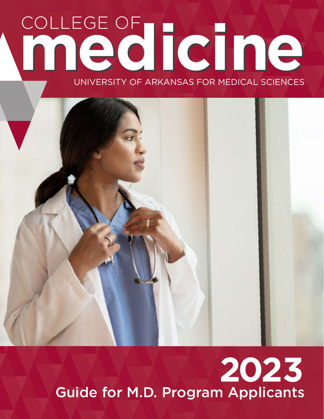# COLLEGE OF **medicine medicine** UNIVERSITY OF ARKANSAS FOR MEDICAL SCIENCES



# **2023** Guide for M.D. Program Applicants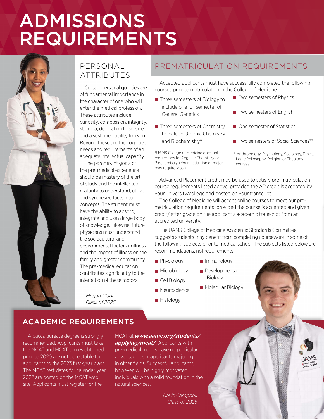# ADMISSIONS REQUIREMENTS



# PERSONAL **ATTRIBUTES**

Certain personal qualities are of fundamental importance in the character of one who will enter the medical profession. These attributes include curiosity, compassion, integrity, stamina, dedication to service and a sustained ability to learn. Beyond these are the cognitive needs and requirements of an adequate intellectual capacity.

The paramount goals of the pre-medical experience should be mastery of the art of study and the intellectual maturity to understand, utilize and synthesize facts into concepts. The student must have the ability to absorb, integrate and use a large body of knowledge. Likewise, future physicians must understand the sociocultural and environmental factors in illness and the impact of illness on the family and greater community. The pre-medical education contributes significantly to the interaction of these factors.

*Megan Clark Class of 2025*

# PREMATRICULATION REQUIREMENTS

Accepted applicants must have successfully completed the following courses prior to matriculation in the College of Medicine:

- Three semesters of Biology to include one full semester of General Genetics
- $\blacksquare$  Three semesters of Chemistry to include Organic Chemistry and Biochemistry\*

\*UAMS College of Medicine does not require labs for Organic Chemistry or Biochemistry. (Your institution or major may require labs.)

- $\blacksquare$  Two semesters of Physics
- Two semesters of English
- One semester of Statistics
- Two semesters of Social Sciences\*\*
- \*\*Anthropology, Psychology, Sociology, Ethics, Logic Philosophy, Religion or Theology courses.

Advanced Placement credit may be used to satisfy pre-matriculation course requirements listed above, provided the AP credit is accepted by your university/college and posted on your transcript.

The College of Medicine will accept online courses to meet our prematriculation requirements, provided the course is accepted and given credit/letter grade on the applicant's academic transcript from an accredited university.

The UAMS College of Medicine Academic Standards Committee suggests students may benefit from completing coursework in some of the following subjects prior to medical school. The subjects listed below are recommendations, not requirements.

**Physiology** 

**Microbiology** Cell Biology **Neuroscience** 

**Histology** 

- **Immunology**
- Developmental Biology
- **Molecular Biology**

ACADEMIC REQUIREMENTS

A baccalaureate degree is strongly recommended. Applicants must take the MCAT and MCAT scores obtained prior to 2020 are not acceptable for applicants to the 2023 first-year class. The MCAT test dates for calendar year 2022 are posted on the MCAT web site. Applicants must register for the

MCAT at *www.aamc.org/students/ applying/mcat/*. Applicants with pre-medical majors have no particular advantage over applicants majoring in other fields. Successful applicants, however, will be highly motivated individuals with a solid foundation in the natural sciences.

> *Davis Campbell Class of 2025*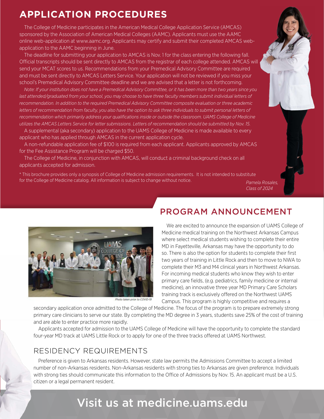# **APPLICATION PROCEDURES**

The College of Medicine participates in the American Medical College Application Service (AMCAS) sponsored by the Association of American Medical Colleges (AAMC). Applicants must use the AAMC online web-application at www.aamc.org. Applicants may certify and submit their completed AMCAS webapplication to the AAMC beginning in June.

The deadline for submitting your application to AMCAS is Nov. 1 for the class entering the following fall. Official transcripts should be sent directly to AMCAS from the registrar of each college attended. AMCAS will send your MCAT scores to us. Recommendations from your Premedical Advisory Committee are required and must be sent directly to AMCAS Letters Service. Your application will not be reviewed if you miss your school's Premedical Advisory Committee deadline and we are advised that a letter is not forthcoming.

*Note: If your institution does not have a Premedical Advisory Committee, or it has been more than two years since you*  last attended/graduated from your school, you may choose to have three faculty members submit individual letters of *recommendation. In addition to the required Premedical Advisory Committee composite evaluation or three academic*  letters of recommendation from faculty, you also have the option to ask three individuals to submit personal letters of *recommendation which primarily address your qualifications inside or outside the classroom. UAMS College of Medicine utilizes the AMCAS Letters Service for letter submissions. Letters of recommendation should be submitted by Nov. 15.*

A supplemental (aka secondary) application to the UAMS College of Medicine is made available to every applicant who has applied through AMCAS in the current application cycle.

A non-refundable application fee of \$100 is required from each applicant. Applicants approved by AMCAS for the Fee Assistance Program will be charged \$50.

The College of Medicine, in conjunction with AMCAS, will conduct a criminal background check on all applicants accepted for admission.

\* This brochure provides only a synopsis of College of Medicine admission requirements. It is not intended to substitute for the College of Medicine catalog. All information is subject to change without notice.

*Pamela Rosales, Class of 2024*



Photo taken prior to COVID-19

# PROGRAM ANNOUNCEMENT

We are excited to announce the expansion of UAMS College of Medicine medical training on the Northwest Arkansas Campus where select medical students wishing to complete their entire MD in Fayetteville, Arkansas may have the opportunity to do so. There is also the option for students to complete their first two years of training in Little Rock and then to move to NWA to complete their M3 and M4 clinical years in Northwest Arkansas. For incoming medical students who know they wish to enter primary care fields, (e.g. pediatrics, family medicine or internal medicine), an innovative three year MD Primary Care Scholars training track is exclusively offered on the Northwest UAMS Campus. This program is highly competitive and requires a

secondary application once admitted to the College of Medicine. The focus of the program is to prepare extremely strong primary care clinicians to serve our state. By completing the MD degree in 3 years, students save 25% of the cost of training and are able to enter practice more rapidly.

Applicants accepted for admission to the UAMS College of Medicine will have the opportunity to complete the standard four-year MD track at UAMS Little Rock or to apply for one of the three tracks offered at UAMS Northwest.

# RESIDENCY REQUIREMENTS

Preference is given to Arkansas residents. However, state law permits the Admissions Committee to accept a limited number of non-Arkansas residents. Non-Arkansas residents with strong ties to Arkansas are given preference. Individuals with strong ties should communicate this information to the Office of Admissions by Nov. 15. An applicant must be a U.S. citizen or a legal permanent resident.

# Visit us at medicine.uams.edu